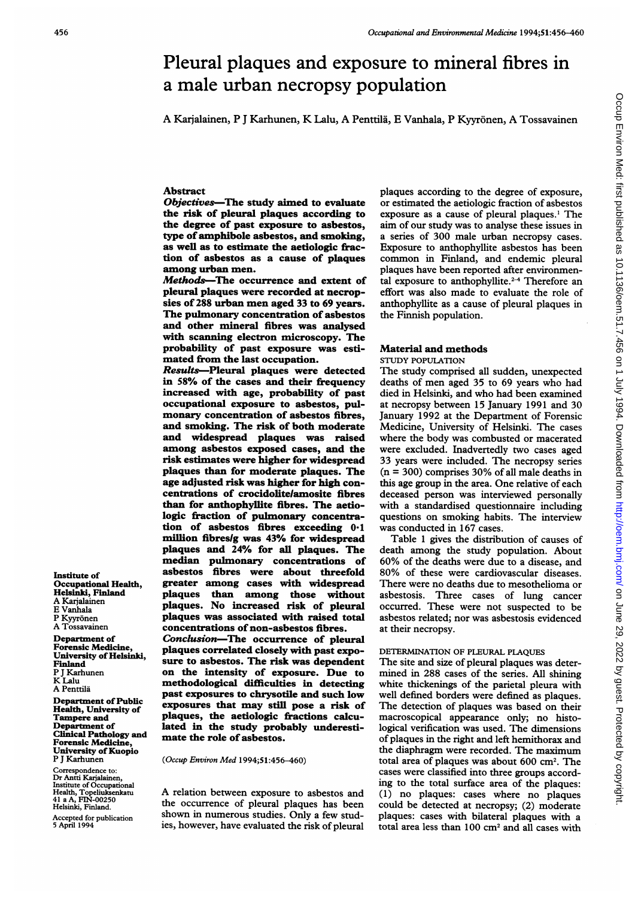# Pleural plaques and exposure to mineral fibres in a male urban necropsy population

A Karjalainen, P <sup>J</sup> Karhunen, K Lalu, A Penttila, E Vanhala, P Kyyr6nen, A Tossavainen

# Abstract

Objectives-The study aimed to evaluate the risk of pleural plaques according to the degree of past exposure to asbestos, type of amphibole asbestos, and smoking, as well as to estimate the aetiologic fraction of asbestos as a cause of plaques among urban men.

Methods-The occurrence and extent of pleural plaques were recorded at necropsies of 288 urban men aged <sup>33</sup> to <sup>69</sup> years. The pulmonary concentration of asbestos and other mineral fibres was analysed with scanning electron microscopy. The probability of past exposure was estimated from the last occupation.

Results-Pleural plaques were detected in 58% of the cases and their frequency increased with age, probability of past occupational exposure to asbestos, pulmonary concentration of asbestos fibres, and smoking. The risk of both moderate<br>and widespread plaques was raised widespread plaques was raised among asbestos exposed cases, and the risk estimates were higher for widespread plaques than for moderate plaques. The age adjusted risk was higher for high concentrations of crocidolitelamosite fibres than for anthophyllite fibres. The aetiologic fraction of pulmonary concentration of asbestos fibres exceeding 0.1 million fibreslg was 43% for widespread plaques and 24% for all plaques. The median pulmonary concentrations of asbestos fibres were about threefold greater among cases with widespread plaques than among those without plaques. No increased risk of pleural plaques was associated with raised total concentrations of non-asbestos fibres. Conclusion-The occurrence of pleural plaques correlated closely with past exposure to asbestos. The risk was dependent on the intensity of exposure. Due to methodological difficulties in detecting past exposures to chrysotile and such low exposures that may still pose a risk of plaques, the aetiologic fractions calcu-

mate the role of asbestos. (Occup Environ Med 1994;51:456-460) Clinical Pathology and Forensic Medicine, University of Kuopio

Correspondence to: Dr Antti Karjalainen Institute of Occupational Health, Topeiuksenkatu 41 a A, FIN-00250 Helsinki, Finland.

P <sup>J</sup> Karhunen

Department of Public Health, University of Tampere and Department of

Institute of

Finland P <sup>J</sup> Karhunen K Lalu A Penttila

Occupational Health, Helsinki, Finland A Karialainen E Vanhala P Kyyrönen<br>A Tossavainen Department of Forensic Medicine, University of Helsinki,

Accepted for publication 5 April 1994

A relation between exposure to asbestos and the occurrence of pleural plaques has been shown in numerous studies. Only a few studies, however, have evaluated the risk of pleural

lated in the study probably underesti-

plaques according to the degree of exposure, or estimated the aetiologic fraction of asbestos exposure as a cause of pleural plaques.' The aim of our study was to analyse these issues in a series of 300 male urban necropsy cases. Exposure to anthophyllite asbestos has been common in Finland, and endemic pleural plaques have been reported after environmental exposure to anthophyllite. $2-4$  Therefore an effort was also made to evaluate the role of anthophyllite as a cause of pleural plaques in the Finnish population.

#### Material and methods

STUDY POPULATION

The study comprised all sudden, unexpected deaths of men aged 35 to 69 years who had died in Helsinki, and who had been examined at necropsy between 15 January 1991 and 30 January 1992 at the Department of Forensic Medicine, University of Helsinki. The cases where the body was combusted or macerated were excluded. Inadvertedly two cases aged 33 years were included. The necropsy series  $(n = 300)$  comprises 30% of all male deaths in this age group in the area. One relative of each deceased person was interviewed personally with a standardised questionnaire including questions on smoking habits. The interview was conducted in 167 cases.

Table <sup>1</sup> gives the distribution of causes of death among the study population. About 60% of the deaths were due to <sup>a</sup> disease, and 80% of these were cardiovascular diseases. There were no deaths due to mesothelioma or asbestosis. Three cases of lung cancer occurred. These were not suspected to be asbestos related; nor was asbestosis evidenced at their necropsy.

# DETERMINATION OF PLEURAL PLAQUES

The site and size of pleural plaques was determined in 288 cases of the series. All shining white thickenings of the parietal pleura with well defined borders were defined as plaques. The detection of plaques was based on their macroscopical appearance only; no histological verification was used. The dimensions of plaques in the right and left hemithorax and the diaphragm were recorded. The maximum total area of plaques was about 600 cm2. The cases were classified into three groups according to the total surface area of the plaques: (1) no plaques: cases where no plaques could be detected at necropsy; (2) moderate plaques: cases with bilateral plaques with a total area less than 100 cm2 and all cases with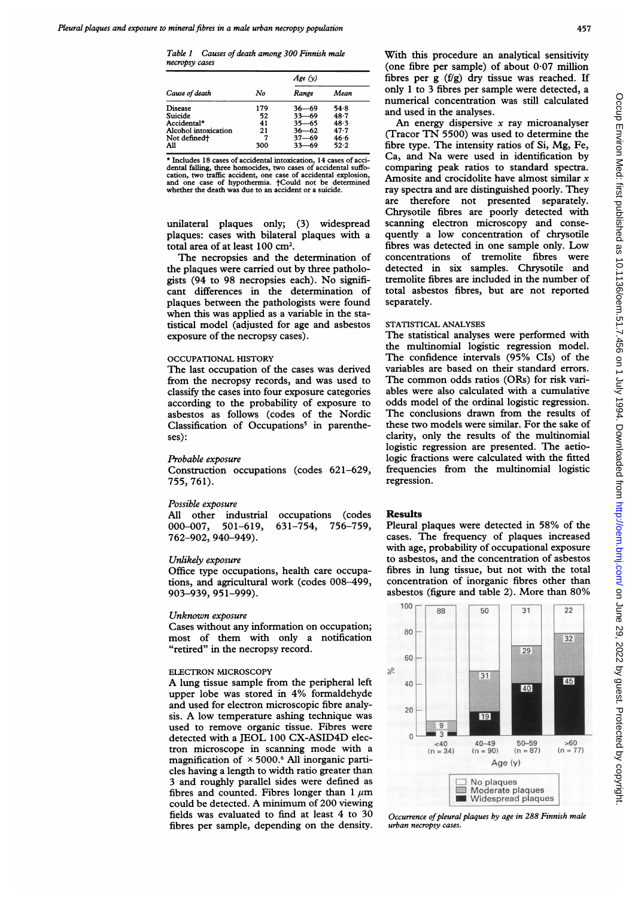Table <sup>1</sup> Causes of death among 300 Finnish male necropsy cases

| Cause of death<br>Disease<br>Suicide<br>Accidental*<br>Alcohol intoxication |     | Age $(v)$ |          |  |  |
|-----------------------------------------------------------------------------|-----|-----------|----------|--|--|
|                                                                             | No  | Range     | Mean     |  |  |
|                                                                             | 179 | 36—69     | 54.8     |  |  |
|                                                                             | 52  | $33 - 69$ | $48 - 7$ |  |  |
|                                                                             | 41  | 35—65     | 48.3     |  |  |
|                                                                             | 21  | $36 - 62$ | 47.7     |  |  |
| Not defined <sup>+</sup>                                                    |     | $37 - 69$ | 46.6     |  |  |
| All                                                                         | 300 |           | 52.2     |  |  |

\* Includes 18 cases of accidental intoxication, 14 cases of accidental falling, three homocides, two cases of cation, two traffic accident, one case of accidental explosion, and one case of hypothermia. tCould not be determined whether the death was due to an accident or a suicide.

unilateral plaques only; (3) widespread plaques: cases with bilateral plaques with a total area of at least 100 cm2.

The necropsies and the determination of the plaques were carried out by three pathologists (94 to 98 necropsies each). No significant differences in the determination of plaques between the pathologists were found when this was applied as a variable in the statistical model (adjusted for age and asbestos exposure of the necropsy cases).

# OCCUPATIONAL HISTORY

The last occupation of the cases was derived from the necropsy records, and was used to classify the cases into four exposure categories according to the probability of exposure to asbestos as follows (codes of the Nordic Classification of Occupations<sup>5</sup> in parentheses):

## Probable exposure

Construction occupations (codes 621-629, 755, 761).

# Possible exposure

All other industrial occupations (codes 000-007, 501-619, 631-754, 756-759, 762-902, 940-949).

#### Unlikely exposure

Office type occupations, health care occupations, and agricultural work (codes 008-499, 903-939, 951-999).

#### Unknown exposure

Cases without any information on occupation; most of them with only a notification "retired" in the necropsy record.

#### ELECTRON MICROSCOPY

A lung tissue sample from the peripheral left upper lobe was stored in 4% formaldehyde and used for electron microscopic fibre analysis. A low temperature ashing technique was used to remove organic tissue. Fibres were detected with <sup>a</sup> JEOL 100 CX-ASID4D electron microscope in scanning mode with <sup>a</sup> magnification of  $\times$  5000.<sup>6</sup> All inorganic particles having a length to width ratio greater than 3 and roughly parallel sides were defined as fibres and counted. Fibres longer than  $1 \mu m$ could be detected. A minimum of 200 viewing fields was evaluated to find at least 4 to 30 fibres per sample, depending on the density.

With this procedure an analytical sensitivity (one fibre per sample) of about  $0.07$  million fibres per  $g(f/g)$  dry tissue was reached. If only <sup>1</sup> to 3 fibres per sample were detected, a numerical concentration was still calculated and used in the analyses.

An energy dispersive  $x$  ray microanalyser (Tracor TN 5500) was used to determine the fibre type. The intensity ratios of Si, Mg, Fe, Ca, and Na were used in identification by comparing peak ratios to standard spectra. Amosite and crocidolite have almost similar  $x$ ray spectra and are distinguished poorly. They are therefore not presented separately. Chrysotile fibres are poorly detected with scanning electron microscopy and consequently a low concentration of chrysotile fibres was detected in one sample only. Low concentrations of tremolite fibres were detected in six samples. Chrysotile and tremolite fibres are included in the number of total asbestos fibres, but are not reported separately.

## STATISTICAL ANALYSES

The statistical analyses were performed with the multinomial logistic regression model. The confidence intervals (95% CIs) of the variables are based on their standard errors. The common odds ratios (ORs) for risk variables were also calculated with a cumulative odds model of the ordinal logistic regression. The conclusions drawn from the results of these two models were similar. For the sake of clarity, only the results of the multinomial logistic regression are presented. The aetiologic fractions were calculated with the fitted frequencies from the multinomial logistic regression.

#### Results

Pleural plaques were detected in 58% of the cases. The frequency of plaques increased with age, probability of occupational exposure to asbestos, and the concentration of asbestos fibres in lung tissue, but not with the total concentration of inorganic fibres other than asbestos (figure and table 2). More than 80%



Occurrence of pleural plaques by age in 288 Finnish male urban necropsy cases.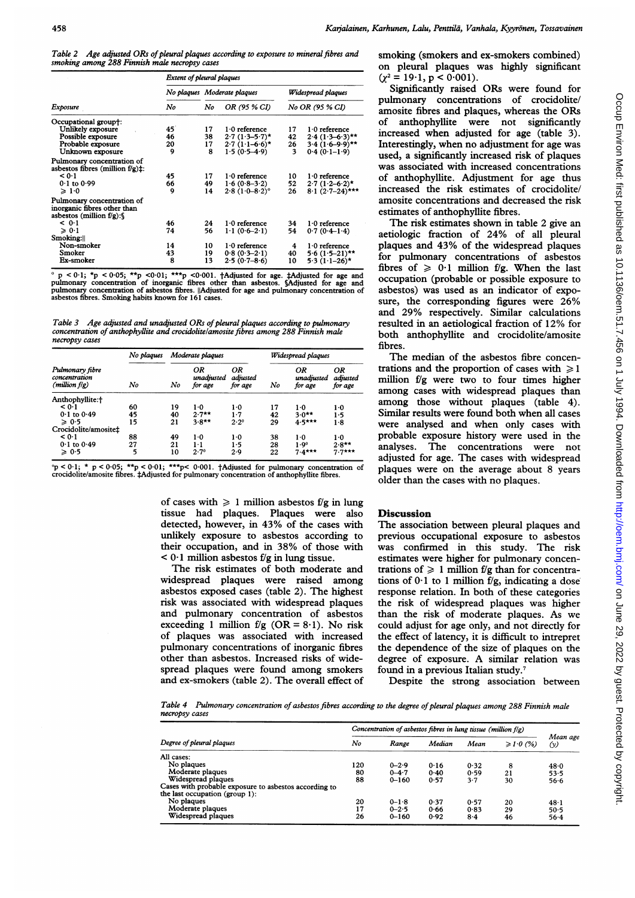Table 2 Age adjusted ORs of pleural plaques according to exposure to mineral fibres and smoking among 288 Finnish male necropsy cases

| Exposure                                                                                | Extent of pleural plaques |    |                             |                                       |                   |  |  |
|-----------------------------------------------------------------------------------------|---------------------------|----|-----------------------------|---------------------------------------|-------------------|--|--|
|                                                                                         |                           |    | No plaques Moderate plaques | Widespread plagues<br>No OR (95 % CI) |                   |  |  |
|                                                                                         | No                        | No | OR (95 % CI)                |                                       |                   |  |  |
| Occupational group†:                                                                    |                           |    |                             |                                       |                   |  |  |
| Unlikely exposure                                                                       | 45                        | 17 | $1.0$ reference             | 17                                    | $1.0$ reference   |  |  |
| Possible exposure                                                                       | 46                        | 38 | $2.7(1.3 - 5.7)$ *          | 42                                    | $2.4(1.3-6.3)$ ** |  |  |
| Probable exposure                                                                       | 20                        | 17 | $2.7(1.1-6.6)$ *            | 26                                    | $3.4(1.6-9.9)$ ** |  |  |
| Unknown exposure                                                                        | 9                         | 8  | $1.5(0.5-4.9)$              | 3                                     | $0.4(0.1-1.9)$    |  |  |
| Pulmonary concentration of<br>asbestos fibres (million $f/g$ ) $\pm$ :                  |                           |    |                             |                                       |                   |  |  |
| < 0.1                                                                                   | 45                        | 17 | $1.0$ reference             | 10                                    | $1.0$ reference   |  |  |
| $0.1$ to $0.99$                                                                         | 66                        | 49 | $1.6(0.8-3.2)$              | 52                                    | $2.7(1.2-6.2)$ *  |  |  |
| $\geqslant 1.0$                                                                         | 9                         | 14 | $2.8(1.0-8.2)$ °            | 26                                    | $8.1(2.7-24)$ *** |  |  |
| Pulmonary concentration of<br>inorganic fibres other than<br>asbestos (million $f/g$ ): |                           |    |                             |                                       |                   |  |  |
| < 0.1                                                                                   | 46                        | 24 | $1.0$ reference             | 34                                    | $1.0$ reference   |  |  |
| $\geqslant 0.1$                                                                         | 74                        | 56 | $1.1(0.6-2.1)$              | 54                                    | $0.7(0.4-1.4)$    |  |  |
| Smoking:                                                                                |                           |    |                             |                                       |                   |  |  |
| Non-smoker                                                                              | 14                        | 10 | $1.0$ reference             | 4                                     | $1.0$ reference   |  |  |
| Smoker                                                                                  | 43                        | 19 | $0.8(0.3-2.1)$              | 40                                    | $5.6(1.5-21)$ **  |  |  |
| Ex-smoker                                                                               | 8                         | 13 | $2.5(0.7 - 8.6)$            | 10                                    | $5.3(1.1-26)$ *   |  |  |

 $^{\circ}$  p < 0.1; \*p < 0.05; \*\*p <0.01; \*\*\*p <0.001. †Adjusted for age. ‡Adjusted for age and pulmonary concentration of inorganic fibres other than asbestos. §Adjusted for age and pulmonary concentration of asbestos fibres asbestos fibres. Smoking habits known for 161 cases.

Table 3 Age adjusted and unadjusted ORs of pleural plaques according to pulmonary concentration of anthophyllite and crocidolitelamosite fibres among 288 Finnish male necropsy cases

| Pulmonary fibre<br>concentration<br>$(million\,f/g)$ | No plagues | Moderate plaques |                             |                           | Widespread plaques |                             |                           |  |
|------------------------------------------------------|------------|------------------|-----------------------------|---------------------------|--------------------|-----------------------------|---------------------------|--|
|                                                      | No         | No               | ΟR<br>unadjusted<br>for age | ΟR<br>adjusted<br>for age | No                 | ΟR<br>unadjusted<br>for age | ΟR<br>adjusted<br>for age |  |
| Anthophyllite:+                                      |            |                  |                             |                           |                    |                             |                           |  |
| < 0.1                                                | 60         | 19               | $1-0$                       | $1-0$                     | 17                 | 1·0                         | 1.0                       |  |
| $0.1$ to $0.49$                                      | 45         | 40               | $2.7**$                     | $1 - 7$                   | 42                 | $3.0**$                     | 1.5                       |  |
| $\geqslant 0.5$                                      | 15         | 21               | $3.8**$                     | 2.2°                      | 29                 | $4.5***$                    | 1.8                       |  |
| Crocidolite/amosite‡                                 |            |                  |                             |                           |                    |                             |                           |  |
| < 0.1                                                | 88         | 49               | $1-0$                       | $1-0$                     | 38                 | $1-0$                       | $1-0$                     |  |
| $0.1$ to $0.49$                                      | 27         | 21               | $1 \cdot 1$                 | 1.5                       | 28                 | 1.90                        | $2.8**$                   |  |
| $\geqslant 0.5$                                      | 5          | 10               | 2.7°                        | 2.9                       | 22                 | $7.4***$                    | $7.7***$                  |  |

 $p < 0.1$ ; \* p < 0.05; \*\*p < 0.01; \*\*\*p< 0.001. †Adjusted for pulmonary concentration of crocidolite/amosite fibres. tAdjusted for pulmonary concentration of anthophyllite fibres.

> of cases with  $\geq 1$  million asbestos f/g in lung tissue had plaques. Plaques were also detected, however, in 43% of the cases with unlikely exposure to asbestos according to their occupation, and in 38% of those with  $\leq 0.1$  million asbestos f/g in lung tissue.

> The risk estimates of both moderate and widespread plaques were raised among asbestos exposed cases (table 2). The highest risk was associated with widespread plaques and pulmonary concentration of asbestos exceeding 1 million  $f/g$  (OR = 8.1). No risk of plaques was associated with increased pulmonary concentrations of inorganic fibres other than asbestos. Increased risks of widespread plaques were found among smokers and ex-smokers (table 2). The overall effect of

smoking (smokers and ex-smokers combined) on pleural plaques was highly significant  $(\gamma^2 = 19.1, p < 0.001)$ .

Significantly raised ORs were found for pulmonary concentrations of crocidolite/ amosite fibres and plaques, whereas the ORs<br>of anthophyllite were not significantly anthophyllite were not significantly increased when adjusted for age (table 3). Interestingly, when no adjustment for age was used, a significantly increased risk of plaques was associated with increased concentrations of anthophyllite. Adjustment for age thus increased the risk estimates of crocidolite/ amosite concentrations and decreased the risk estimates of anthophyllite fibres.

The risk estimates shown in table 2 give an aetiologic fraction of 24% of all pleural plaques and 43% of the widespread plaques for pulmonary concentrations of asbestos fibres of  $\geq 0.1$  million f/g. When the last occupation (probable or possible exposure to asbestos) was used as an indicator of exposure, the corresponding figures were 26% and 29% respectively. Similar calculations resulted in an aetiological fraction of 12% for both anthophyllite and crocidolite/amosite fibres.

The median of the asbestos fibre concentrations and the proportion of cases with  $\geq 1$ million f/g were two to four times higher among cases with widespread plaques than among those without plaques (table 4). Similar results were found both when all cases were analysed and when only cases with probable exposure history were used in the analyses. The concentrations were not adjusted for age. The cases with widespread plaques were on the average about 8 years older than the cases with no plaques.

# **Discussion**

The association between pleural plaques and previous occupational exposure to asbestos was confirmed in this study. The risk estimates were higher for pulmonary concentrations of  $\geq 1$  million f/g than for concentrations of  $0.1$  to 1 million  $f/g$ , indicating a dose response relation. In both of these categories the risk of widespread plaques was higher than the risk of moderate plaques. As we could adjust for age only, and not directly for the effect of latency, it is difficult to intrepret the dependence of the size of plaques on the degree of exposure. A similar relation was found in a previous Italian study.7

Despite the strong association between

Table 4 Pulmonary concentration of asbestos fibres according to the degree of pleural plaques among 288 Finnish male necropsy cases

|                                                       | Concentration of asbestos fibres in lung tissue (million f/g) |           |        |       |                     |                           |
|-------------------------------------------------------|---------------------------------------------------------------|-----------|--------|-------|---------------------|---------------------------|
| Degree of pleural plaques                             | No                                                            | Range     | Median | Mean  | $\geqslant$ 1.0 (%) | Mean age<br>$\circled{v}$ |
| All cases:                                            |                                                               |           |        |       |                     |                           |
| No plaques                                            | 120                                                           | $0 - 2.9$ | 0.16   | 0.32  | 8                   | 48.0                      |
| Moderate plaques                                      | 80                                                            | $0 - 4.7$ | 0.40   | 0.59  | 21                  | 53.5                      |
| Widespread plaques                                    | 88                                                            | $0 - 160$ | 0.57   | 3.7   | 30                  | 56.6                      |
| Cases with probable exposure to asbestos according to |                                                               |           |        |       |                     |                           |
| the last occupation (group 1):                        |                                                               |           |        |       |                     |                           |
| No plaques                                            | 20                                                            | $0 - 1.8$ | 0.37   | 0.57  | 20                  | $48 - 1$                  |
| Moderate plaques                                      | 17                                                            | $0 - 2.5$ | 0.66   | 0.83  | 29                  | 50.5                      |
| Widespread plaques                                    | 26                                                            | $0 - 160$ | 0.92   | $8-4$ | 46                  | $56 - 4$                  |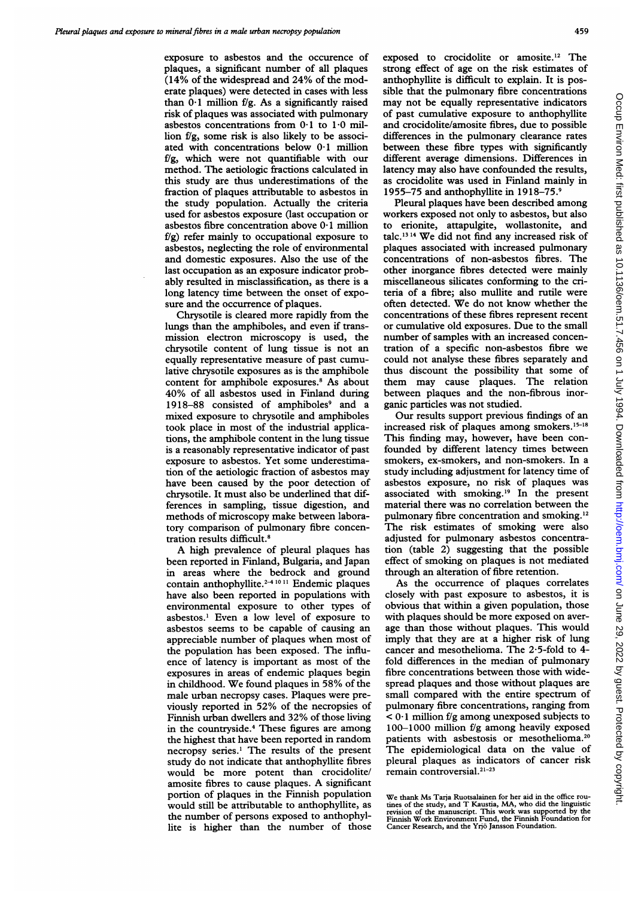exposure to asbestos and the occurence of plaques, a significant number of all plaques (14% of the widespread and 24% of the moderate plaques) were detected in cases with less than  $0.1$  million f/g. As a significantly raised risk of plaques was associated with pulmonary asbestos concentrations from 0-1 to 1-0 million fig, some risk is also likely to be associated with concentrations below 0.1 million fig, which were not quantifiable with our method. The aetiologic fractions calculated in this study are thus underestimations of the fraction of plaques attributable to asbestos in the study population. Actually the criteria used for asbestos exposure (last occupation or asbestos fibre concentration above  $0.1$  million  $f/g$ ) refer mainly to occupational exposure to asbestos, neglecting the role of environmental and domestic exposures. Also the use of the last occupation as an exposure indicator probably resulted in misclassification, as there is a long latency time between the onset of exposure and the occurrence of plaques.

Chrysotile is cleared more rapidly from the lungs than the amphiboles, and even if transmission electron microscopy is used, the chrysotile content of lung tissue is not an equally representative measure of past cumulative chrysotile exposures as is the amphibole content for amphibole exposures.<sup>8</sup> As about 40% of all asbestos used in Finland during 1918-88 consisted of amphiboles<sup>9</sup> and a mixed exposure to chrysotile and amphiboles took place in most of the industrial applications, the amphibole content in the lung tissue is a reasonably representative indicator of past exposure to asbestos. Yet some underestimation of the aetiologic fraction of asbestos may have been caused by the poor detection of chrysotile. It must also be underlined that differences in sampling, tissue digestion, and methods of microscopy make between laboratory comparison of pulmonary fibre concentration results difficult.8

A high prevalence of pleural plaques has been reported in Finland, Bulgaria, and Japan in areas where the bedrock and ground contain anthophyllite. $2-41011$  Endemic plaques have also been reported in populations with environmental exposure to other types of asbestos.' Even a low level of exposure to asbestos seems to be capable of causing an appreciable number of plaques when most of the population has been exposed. The influence of latency is important as most of the exposures in areas of endemic plaques begin in childhood. We found plaques in 58% of the male urban necropsy cases. Plaques were previously reported in 52% of the necropsies of Finnish urban dwellers and 32% of those living in the countryside.4 These figures are among the highest that have been reported in random necropsy series.' The results of the present study do not indicate that anthophyllite fibres would be more potent than crocidolite/ amosite fibres to cause plaques. A significant portion of plaques in the Finnish population would still be attributable to anthophyllite, as the number of persons exposed to anthophyllite is higher than the number of those

exposed to crocidolite or amosite.'2 The strong effect of age on the risk estimates of anthophyllite is difficult to explain. It is possible that the pulmonary fibre concentrations may not be equally representative indicators of past cumulative exposure to anthophyllite and crocidolite/amosite fibres, due to possible differences in the pulmonary clearance rates between these fibre types with significantly different average dimensions. Differences in latency may also have confounded the results, as crocidolite was used in Finland mainly in 1955-75 and anthophyllite in 1918-75.9

Pleural plaques have been described among workers exposed not only to asbestos, but also to erionite, attapulgite, wollastonite, and talc.'3 <sup>14</sup> We did not find any increased risk of plaques associated with increased pulmonary concentrations of non-asbestos fibres. The other inorgance fibres detected were mainly miscellaneous silicates conforming to the criteria of a fibre; also mullite and rutile were often detected. We do not know whether the concentrations of these fibres represent recent or cumulative old exposures. Due to the small number of samples with an increased concentration of a specific non-asbestos fibre we could not analyse these fibres separately and thus discount the possibility that some of them may cause plaques. The relation between plaques and the non-fibrous inorganic particles was not studied.

Our results support previous findings of an increased risk of plaques among smokers.<sup>15-18</sup> This finding may, however, have been confounded by different latency times between smokers, ex-smokers, and non-smokers. In a study including adjustment for latency time of asbestos exposure, no risk of plaques was associated with smoking.'9 In the present material there was no correlation between the pulmonary fibre concentration and smoking.'2 The risk estimates of smoking were also adjusted for pulmonary asbestos concentration (table 2) suggesting that the possible effect of smoking on plaques is not mediated through an alteration of fibre retention.

As the occurrence of plaques correlates closely with past exposure to asbestos, it is obvious that within a given population, those with plaques should be more exposed on average than those without plaques. This would imply that they are at a higher risk of lung cancer and mesothelioma. The 2-5-fold to 4 fold differences in the median of pulmonary fibre concentrations between those with widespread plaques and those without plaques are small compared with the entire spectrum of pulmonary fibre concentrations, ranging from  $< 0.1$  million f/g among unexposed subjects to 100-1000 million  $f/g$  among heavily exposed patients with asbestosis or mesothelioma.20 The epidemiological data on the value of pleural plaques as indicators of cancer risk remain controversial.<sup>21-23</sup>

We thank Ms Tarja Ruotsalainen for her aid in the office routines of the study, and T Kaustia, MA, who did the linguistic revision of the manuscript. This work was supported by the Finnish Work Environment Fund, the Finnish Foundation for Cancer Research, and the Yrjo Jansson Foundation.